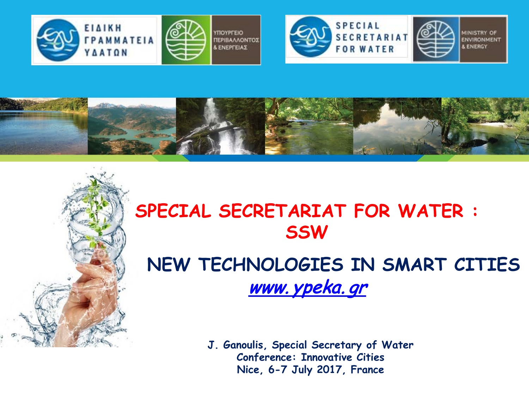







### **SPECIAL SECRETARIAT FOR WATER : SSW**

### **NEW TECHNOLOGIES IN SMART CITIES** www. [ypeka.](http://www.ypeka.gr/) gr

**J. Ganoulis, Special Secretary of Water Conference: Innovative Cities Nice, 6-7 July 2017, France**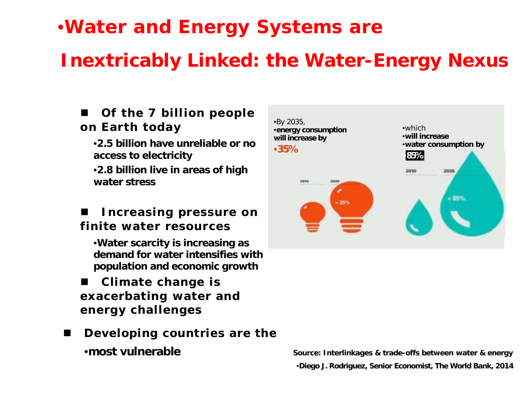### •**Water and Energy Systems are**

### **Inextricably Linked: the Water-Energy Nexus**

### **Of the 7 billion people on Earth today**

- •**2.5 billion have unreliable or no access to electricity**
- •**2.8 billion live in areas of high water stress**

#### **Increasing pressure on finite water resources**

- •**Water scarcity is increasing as demand for water intensifies with population and economic growth**
- **Climate change is exacerbating water and energy challenges**
- **Developing countries are the •most vulnerable** Source: Interlinkages & trade-offs between water & energy

•By 2035, •**energy consumption will increase by**  •**35%** 





•**Diego J. Rodriguez, Senior Economist, The World Bank, 2014**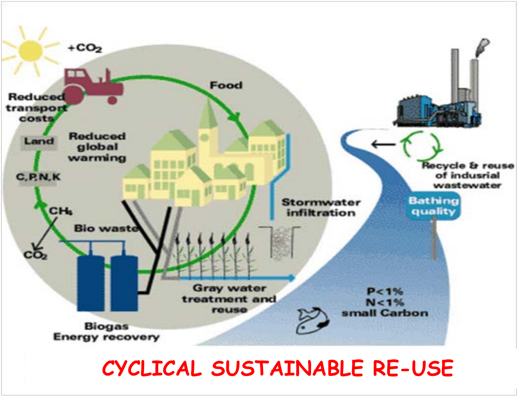

### **CYCLICAL SUSTAINABLE RE-USE**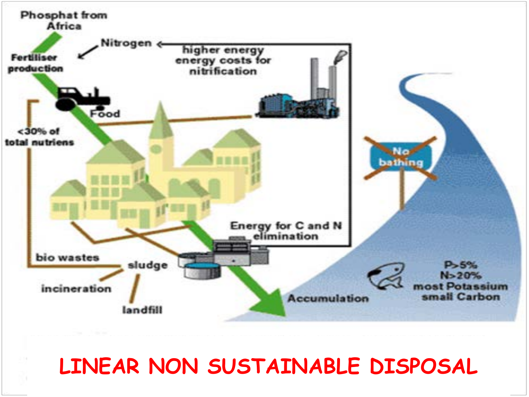

## **LINEAR NON SUSTAINABLE DISPOSAL**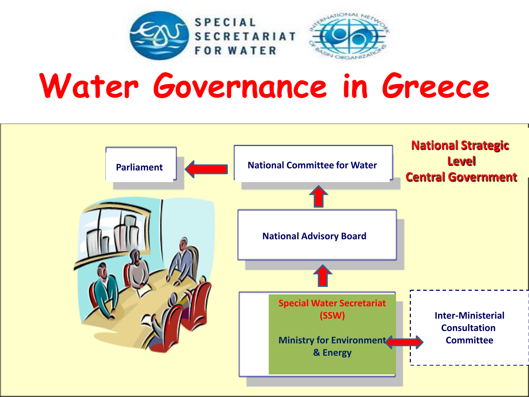



## **Water Governance in Greece**

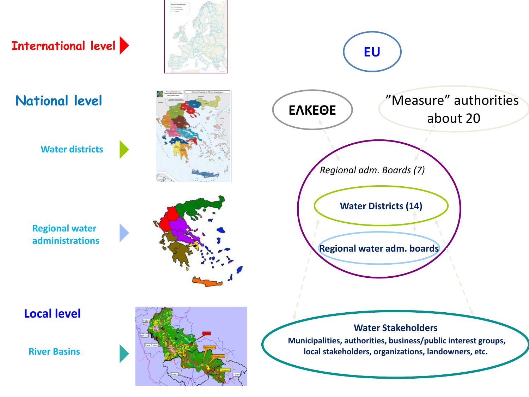

**National level**





#### **Regional water administrations**



### **Local level**

 **River Basins** 



**Municipalities, authorities, business/public interest groups, local stakeholders, organizations, landowners, etc.**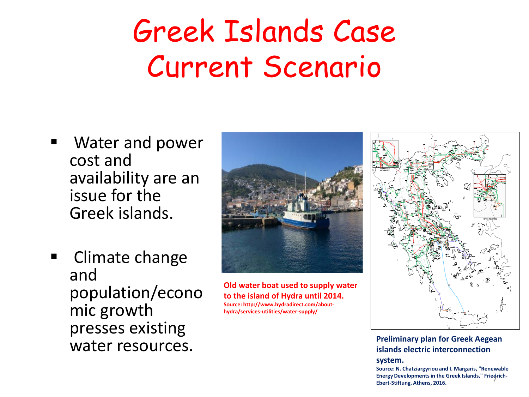## Greek Islands Case Current Scenario

- Water and power cost and availability are an issue for the Greek islands.
- Climate change and population/econo mic growth presses existing water resources.



**Old water boat used to supply water to the island of Hydra until 2014. Source: http://www.hydradirect.com/abouthydra/services-utilities/water-supply/**



**Preliminary plan for Greek Aegean islands electric interconnection system.** 

Energy Developments in the Greek Islands," Friedrich-<br>Ehert-Stiftung, Athens, 2016 **Source: N. Chatziargyriou and I. Margaris, "Renewable Ebert-Stiftung, Athens, 2016.**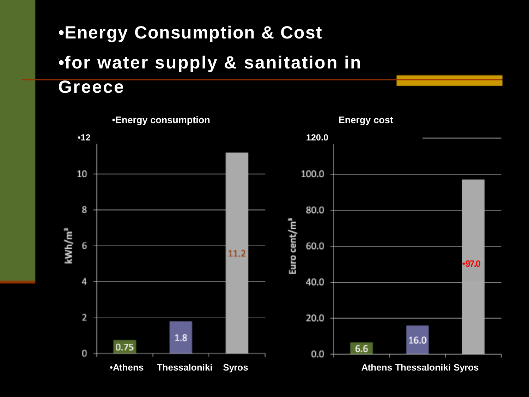## •**Energy Consumption & Cost**  •**for water supply & sanitation in Greece**

•**Energy consumption Energy cost**  •12 **120.0** 10 100.0 8 80.0 Euro cent/m<sup>3</sup>  $kWh/m<sup>3</sup>$ 6 60.0  $11.2$ •**97.0** 40.0 4  $\overline{2}$ 20.0 1.8 16.0  $0.75$ 6.6  $\mathbf{0}$  $0.0$ •Athens Thessaloniki Syros **Athens Thessaloniki Syros** Athens Thessaloniki Syros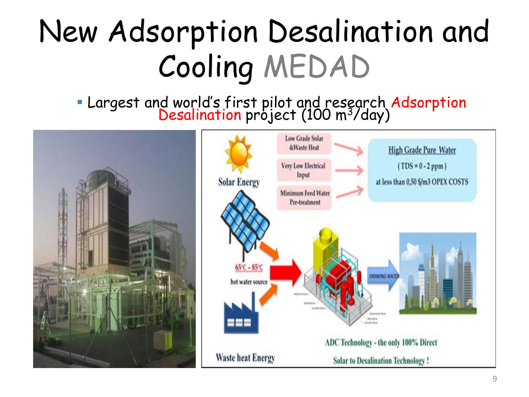# New Adsorption Desalination and Cooling MEDAD

## Largest and world's first pilot and research Adsorption<br>Desalination project (100 m<sup>3</sup>/day)

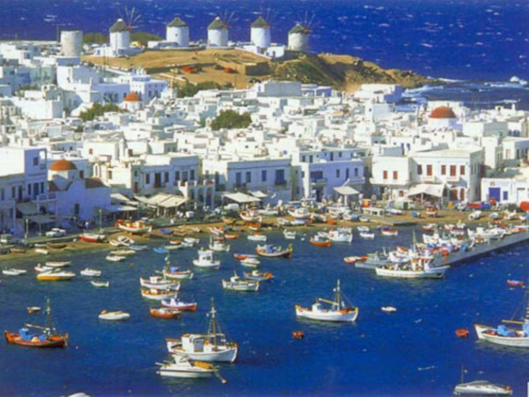